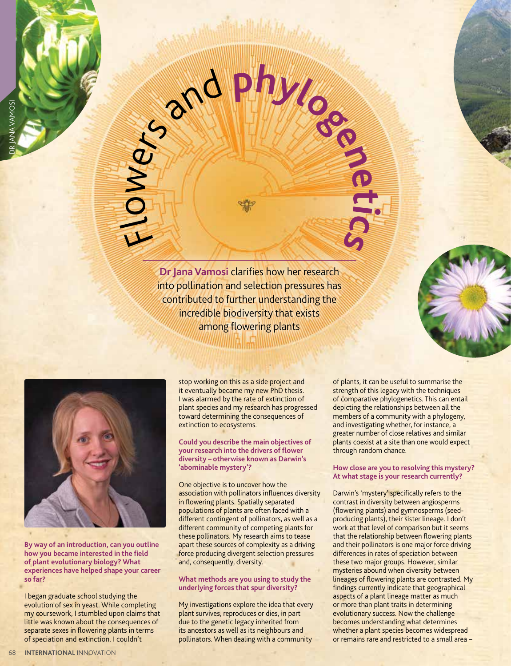$\mathbf{r}$  $\overline{\mathsf{C}}$ wer<sup>s</sup> <sup>a</sup>n<sup>d</sup> **<sup>p</sup>hyloge<sup>n</sup>**

> **Dr Jana Vamosi** clarifies how her research into pollination and selection pressures has contributed to further understanding the incredible biodiversity that exists among flowering plants



**By way of an introduction, can you outline how you became interested in the field of plant evolutionary biology? What experiences have helped shape your career so far?**

I began graduate school studying the evolution of sex in yeast. While completing my coursework, I stumbled upon claims that little was known about the consequences of separate sexes in flowering plants in terms of speciation and extinction. I couldn't

stop working on this as a side project and it eventually became my new PhD thesis. I was alarmed by the rate of extinction of plant species and my research has progressed toward determining the consequences of extinction to ecosystems.

## **Could you describe the main objectives of your research into the drivers of flower diversity – otherwise known as Darwin's 'abominable mystery'?**

One objective is to uncover how the association with pollinators influences diversity in flowering plants. Spatially separated populations of plants are often faced with a different contingent of pollinators, as well as a different community of competing plants for these pollinators. My research aims to tease apart these sources of complexity as a driving force producing divergent selection pressures and, consequently, diversity.

## **What methods are you using to study the underlying forces that spur diversity?**

My investigations explore the idea that every plant survives, reproduces or dies, in part due to the genetic legacy inherited from its ancestors as well as its neighbours and pollinators. When dealing with a community

of plants, it can be useful to summarise the strength of this legacy with the techniques of comparative phylogenetics. This can entail depicting the relationships between all the members of a community with a phylogeny, and investigating whether, for instance, a greater number of close relatives and similar plants coexist at a site than one would expect through random chance.

**e**

**ics**

**t**

## **How close are you to resolving this mystery? At what stage is your research currently?**

Darwin's 'mystery' specifically refers to the contrast in diversity between angiosperms (flowering plants) and gymnosperms (seedproducing plants), their sister lineage. I don't work at that level of comparison but it seems that the relationship between flowering plants and their pollinators is one major force driving differences in rates of speciation between these two major groups. However, similar mysteries abound when diversity between lineages of flowering plants are contrasted. My findings currently indicate that geographical aspects of a plant lineage matter as much or more than plant traits in determining evolutionary success. Now the challenge becomes understanding what determines whether a plant species becomes widespread or remains rare and restricted to a small area –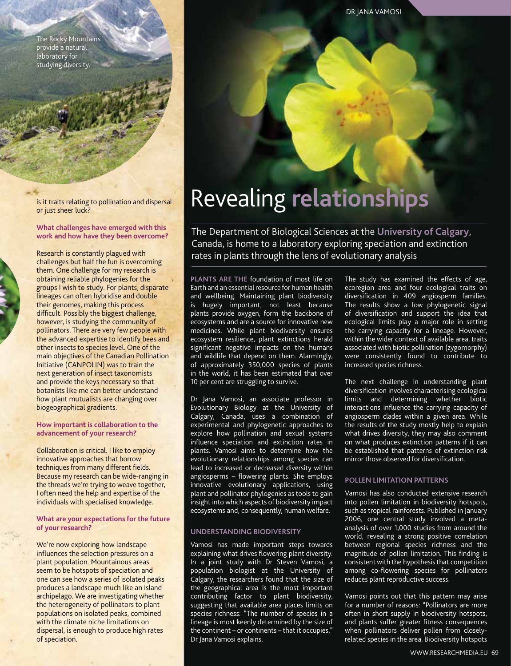The Rocky Mountains provide a natural laboratory for studying diversity.

is it traits relating to pollination and dispersal or just sheer luck?

#### **What challenges have emerged with this work and how have they been overcome?**

Research is constantly plagued with challenges but half the fun is overcoming them. One challenge for my research is obtaining reliable phylogenies for the groups I wish to study. For plants, disparate lineages can often hybridise and double their genomes, making this process difficult. Possibly the biggest challenge, however, is studying the community of pollinators. There are very few people with the advanced expertise to identify bees and other insects to species level. One of the main objectives of the Canadian Pollination Initiative (CANPOLIN) was to train the next generation of insect taxonomists and provide the keys necessary so that botanists like me can better understand how plant mutualists are changing over biogeographical gradients.

### **How important is collaboration to the advancement of your research?**

Collaboration is critical. I like to employ innovative approaches that borrow techniques from many different fields. Because my research can be wide-ranging in the threads we're trying to weave together, I often need the help and expertise of the individuals with specialised knowledge.

## **What are your expectations for the future of your research?**

We're now exploring how landscape influences the selection pressures on a plant population. Mountainous areas seem to be hotspots of speciation and one can see how a series of isolated peaks produces a landscape much like an island archipelago. We are investigating whether the heterogeneity of pollinators to plant populations on isolated peaks, combined with the climate niche limitations on dispersal, is enough to produce high rates of speciation.

# Revealing **relationships**

The Department of Biological Sciences at the **University of Calgary**, Canada, is home to a laboratory exploring speciation and extinction rates in plants through the lens of evolutionary analysis

**PLANTS ARE THE** foundation of most life on Earth and an essential resource for human health and wellbeing. Maintaining plant biodiversity is hugely important, not least because plants provide oxygen, form the backbone of ecosystems and are a source for innovative new medicines. While plant biodiversity ensures ecosystem resilience, plant extinctions herald significant negative impacts on the humans and wildlife that depend on them. Alarmingly, of approximately 350,000 species of plants in the world, it has been estimated that over 10 per cent are struggling to survive.

Dr Jana Vamosi, an associate professor in Evolutionary Biology at the University of Calgary, Canada, uses a combination of experimental and phylogenetic approaches to explore how pollination and sexual systems influence speciation and extinction rates in plants. Vamosi aims to determine how the evolutionary relationships among species can lead to increased or decreased diversity within angiosperms – flowering plants. She employs innovative evolutionary applications, using plant and pollinator phylogenies as tools to gain insight into which aspects of biodiversity impact ecosystems and, consequently, human welfare.

## **UNDERSTANDING BIODIVERSITY**

Vamosi has made important steps towards explaining what drives flowering plant diversity. In a joint study with Dr Steven Vamosi, a population biologist at the University of Calgary, the researchers found that the size of the geographical area is the most important contributing factor to plant biodiversity, suggesting that available area places limits on species richness: "The number of species in a lineage is most keenly determined by the size of the continent – or continents – that it occupies," Dr Jana Vamosi explains.

The study has examined the effects of age, ecoregion area and four ecological traits on diversification in 409 angiosperm families. The results show a low phylogenetic signal of diversification and support the idea that ecological limits play a major role in setting the carrying capacity for a lineage. However, within the wider context of available area, traits associated with biotic pollination (zygomorphy) were consistently found to contribute to increased species richness.

The next challenge in understanding plant diversification involves characterising ecological limits and determining whether biotic interactions influence the carrying capacity of angiosperm clades within a given area. While the results of the study mostly help to explain what drives diversity, they may also comment on what produces extinction patterns if it can be established that patterns of extinction risk mirror those observed for diversification.

## **POLLEN LIMITATION PATTERNS**

Vamosi has also conducted extensive research into pollen limitation in biodiversity hotspots, such as tropical rainforests. Published in January 2006, one central study involved a metaanalysis of over 1,000 studies from around the world, revealing a strong positive correlation between regional species richness and the magnitude of pollen limitation. This finding is consistent with the hypothesis that competition among co-flowering species for pollinators reduces plant reproductive success.

Vamosi points out that this pattern may arise for a number of reasons: "Pollinators are more often in short supply in biodiversity hotspots, and plants suffer greater fitness consequences when pollinators deliver pollen from closelyrelated species in the area. Biodiversity hotspots